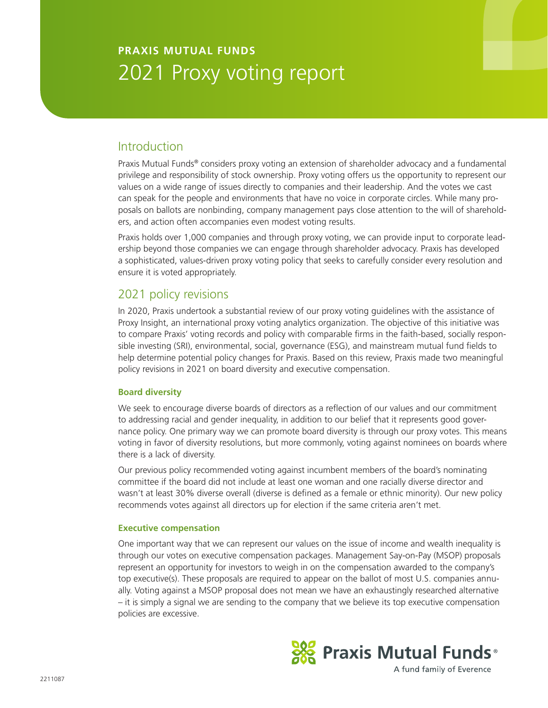# 2021 Proxy voting report **PRAXIS MUTUAL FUNDS**

# Introduction

Praxis Mutual Funds® considers proxy voting an extension of shareholder advocacy and a fundamental privilege and responsibility of stock ownership. Proxy voting offers us the opportunity to represent our values on a wide range of issues directly to companies and their leadership. And the votes we cast can speak for the people and environments that have no voice in corporate circles. While many proposals on ballots are nonbinding, company management pays close attention to the will of shareholders, and action often accompanies even modest voting results.

Praxis holds over 1,000 companies and through proxy voting, we can provide input to corporate leadership beyond those companies we can engage through shareholder advocacy. Praxis has developed a sophisticated, values-driven proxy voting policy that seeks to carefully consider every resolution and ensure it is voted appropriately.

# 2021 policy revisions

In 2020, Praxis undertook a substantial review of our proxy voting guidelines with the assistance of Proxy Insight, an international proxy voting analytics organization. The objective of this initiative was to compare Praxis' voting records and policy with comparable firms in the faith-based, socially responsible investing (SRI), environmental, social, governance (ESG), and mainstream mutual fund fields to help determine potential policy changes for Praxis. Based on this review, Praxis made two meaningful policy revisions in 2021 on board diversity and executive compensation.

### **Board diversity**

We seek to encourage diverse boards of directors as a reflection of our values and our commitment to addressing racial and gender inequality, in addition to our belief that it represents good governance policy. One primary way we can promote board diversity is through our proxy votes. This means voting in favor of diversity resolutions, but more commonly, voting against nominees on boards where there is a lack of diversity.

Our previous policy recommended voting against incumbent members of the board's nominating committee if the board did not include at least one woman and one racially diverse director and wasn't at least 30% diverse overall (diverse is defined as a female or ethnic minority). Our new policy recommends votes against all directors up for election if the same criteria aren't met.

### **Executive compensation**

One important way that we can represent our values on the issue of income and wealth inequality is through our votes on executive compensation packages. Management Say-on-Pay (MSOP) proposals represent an opportunity for investors to weigh in on the compensation awarded to the company's top executive(s). These proposals are required to appear on the ballot of most U.S. companies annually. Voting against a MSOP proposal does not mean we have an exhaustingly researched alternative – it is simply a signal we are sending to the company that we believe its top executive compensation policies are excessive.

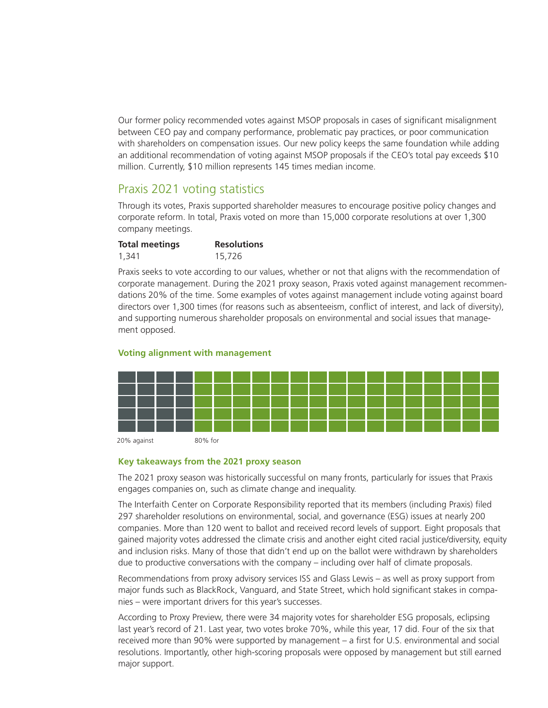Our former policy recommended votes against MSOP proposals in cases of significant misalignment between CEO pay and company performance, problematic pay practices, or poor communication with shareholders on compensation issues. Our new policy keeps the same foundation while adding an additional recommendation of voting against MSOP proposals if the CEO's total pay exceeds \$10 million. Currently, \$10 million represents 145 times median income.

## Praxis 2021 voting statistics

Through its votes, Praxis supported shareholder measures to encourage positive policy changes and corporate reform. In total, Praxis voted on more than 15,000 corporate resolutions at over 1,300 company meetings.

| <b>Total meetings</b> | <b>Resolutions</b> |
|-----------------------|--------------------|
| 1,341                 | 15,726             |

Praxis seeks to vote according to our values, whether or not that aligns with the recommendation of corporate management. During the 2021 proxy season, Praxis voted against management recommendations 20% of the time. Some examples of votes against management include voting against board directors over 1,300 times (for reasons such as absenteeism, conflict of interest, and lack of diversity), and supporting numerous shareholder proposals on environmental and social issues that management opposed.

### **Voting alignment with management**



### **Key takeaways from the 2021 proxy season**

The 2021 proxy season was historically successful on many fronts, particularly for issues that Praxis engages companies on, such as climate change and inequality.

The Interfaith Center on Corporate Responsibility reported that its members (including Praxis) filed 297 shareholder resolutions on environmental, social, and governance (ESG) issues at nearly 200 companies. More than 120 went to ballot and received record levels of support. Eight proposals that gained majority votes addressed the climate crisis and another eight cited racial justice/diversity, equity and inclusion risks. Many of those that didn't end up on the ballot were withdrawn by shareholders due to productive conversations with the company – including over half of climate proposals.

Recommendations from proxy advisory services ISS and Glass Lewis – as well as proxy support from major funds such as BlackRock, Vanguard, and State Street, which hold significant stakes in companies – were important drivers for this year's successes.

According to Proxy Preview, there were 34 majority votes for shareholder ESG proposals, eclipsing last year's record of 21. Last year, two votes broke 70%, while this year, 17 did. Four of the six that received more than 90% were supported by management – a first for U.S. environmental and social resolutions. Importantly, other high-scoring proposals were opposed by management but still earned major support.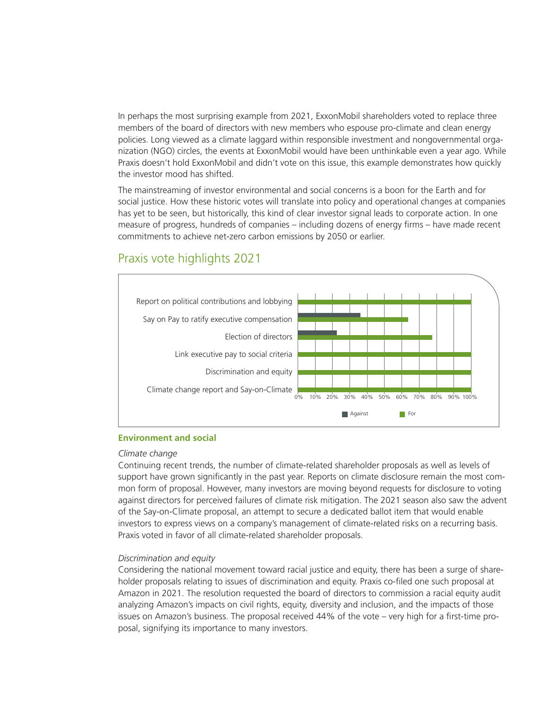In perhaps the most surprising example from 2021, ExxonMobil shareholders voted to replace three members of the board of directors with new members who espouse pro-climate and clean energy policies. Long viewed as a climate laggard within responsible investment and nongovernmental organization (NGO) circles, the events at ExxonMobil would have been unthinkable even a year ago. While Praxis doesn't hold ExxonMobil and didn't vote on this issue, this example demonstrates how quickly the investor mood has shifted.

The mainstreaming of investor environmental and social concerns is a boon for the Earth and for social justice. How these historic votes will translate into policy and operational changes at companies has yet to be seen, but historically, this kind of clear investor signal leads to corporate action. In one measure of progress, hundreds of companies – including dozens of energy firms – have made recent commitments to achieve net-zero carbon emissions by 2050 or earlier.

# Report on political contributions and lobbying Say on Pay to ratify executive compensation Election of directors Link executive pay to social criteria Discrimination and equity Climate change report and Say-on-Climate  $0\%$ **Against** For 10% 20% 30% 40% 50% 60% 70% 80% 90% 100% **Praxis voting 2021**

# Praxis vote highlights 2021

### **Environment and social**

### *Climate change*

Continuing recent trends, the number of climate-related shareholder proposals as well as levels of support have grown significantly in the past year. Reports on climate disclosure remain the most common form of proposal. However, many investors are moving beyond requests for disclosure to voting against directors for perceived failures of climate risk mitigation. The 2021 season also saw the advent of the Say-on-Climate proposal, an attempt to secure a dedicated ballot item that would enable investors to express views on a company's management of climate-related risks on a recurring basis. Praxis voted in favor of all climate-related shareholder proposals.

### *Discrimination and equity*

Considering the national movement toward racial justice and equity, there has been a surge of shareholder proposals relating to issues of discrimination and equity. Praxis co-filed one such proposal at Amazon in 2021. The resolution requested the board of directors to commission a racial equity audit analyzing Amazon's impacts on civil rights, equity, diversity and inclusion, and the impacts of those issues on Amazon's business. The proposal received 44% of the vote – very high for a first-time proposal, signifying its importance to many investors.